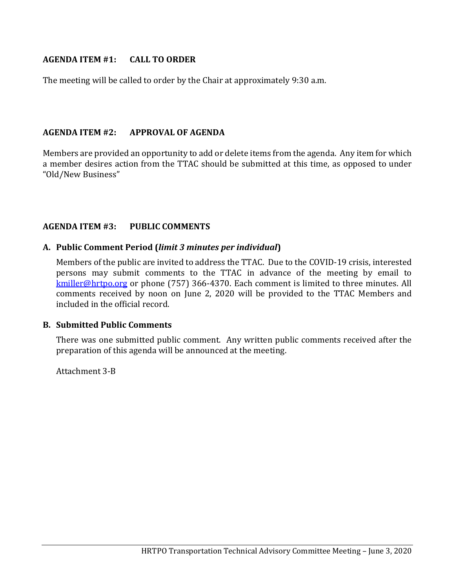## **AGENDA ITEM #1: CALL TO ORDER**

The meeting will be called to order by the Chair at approximately 9:30 a.m.

## **AGENDA ITEM #2: APPROVAL OF AGENDA**

Members are provided an opportunity to add or delete items from the agenda. Any item for which a member desires action from the TTAC should be submitted at this time, as opposed to under "Old/New Business"

## **AGENDA ITEM #3: PUBLIC COMMENTS**

## **A. Public Comment Period (***limit 3 minutes per individual***)**

Members of the public are invited to address the TTAC. Due to the COVID-19 crisis, interested persons may submit comments to the TTAC in advance of the meeting by email to [kmiller@hrtpo.org](mailto:kmiller@hrtpo.org) or phone (757) 366-4370. Each comment is limited to three minutes. All comments received by noon on June 2, 2020 will be provided to the TTAC Members and included in the official record.

### **B. Submitted Public Comments**

There was one submitted public comment. Any written public comments received after the preparation of this agenda will be announced at the meeting.

Attachment 3-B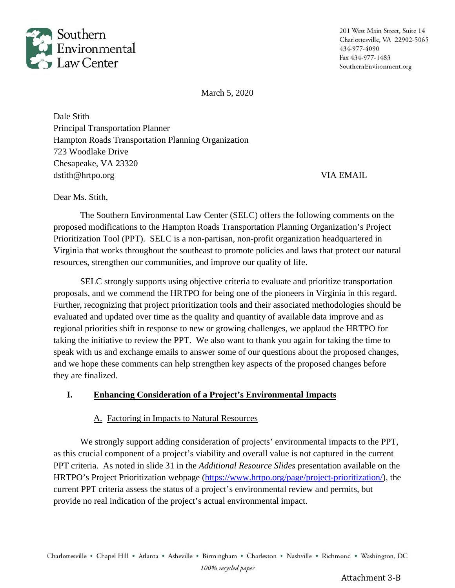

201 West Main Street, Suite 14 Charlottesville, VA 22902-5065 434-977-4090 Fax 434-977-1483 SouthernEnvironment.org

March 5, 2020

Dale Stith Principal Transportation Planner Hampton Roads Transportation Planning Organization 723 Woodlake Drive Chesapeake, VA 23320 dstith@hrtpo.org VIA EMAIL

Dear Ms. Stith,

The Southern Environmental Law Center (SELC) offers the following comments on the proposed modifications to the Hampton Roads Transportation Planning Organization's Project Prioritization Tool (PPT). SELC is a non-partisan, non-profit organization headquartered in Virginia that works throughout the southeast to promote policies and laws that protect our natural resources, strengthen our communities, and improve our quality of life.

SELC strongly supports using objective criteria to evaluate and prioritize transportation proposals, and we commend the HRTPO for being one of the pioneers in Virginia in this regard. Further, recognizing that project prioritization tools and their associated methodologies should be evaluated and updated over time as the quality and quantity of available data improve and as regional priorities shift in response to new or growing challenges, we applaud the HRTPO for taking the initiative to review the PPT. We also want to thank you again for taking the time to speak with us and exchange emails to answer some of our questions about the proposed changes, and we hope these comments can help strengthen key aspects of the proposed changes before they are finalized.

## **I. Enhancing Consideration of a Project's Environmental Impacts**

### A. Factoring in Impacts to Natural Resources

We strongly support adding consideration of projects' environmental impacts to the PPT, as this crucial component of a project's viability and overall value is not captured in the current PPT criteria. As noted in slide 31 in the *Additional Resource Slides* presentation available on the HRTPO's Project Prioritization webpage (https://www.hrtpo.org/page/project-prioritization/), the current PPT criteria assess the status of a project's environmental review and permits, but provide no real indication of the project's actual environmental impact.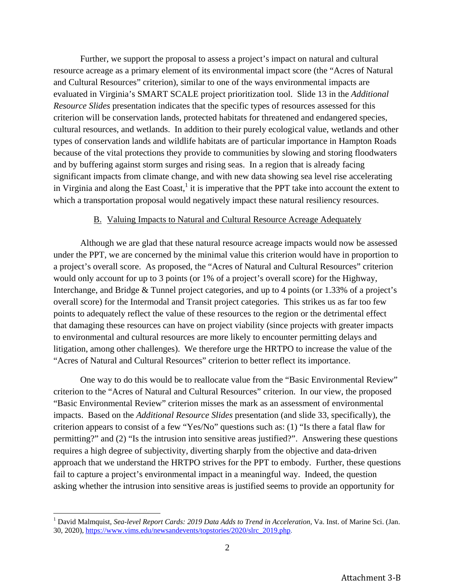Further, we support the proposal to assess a project's impact on natural and cultural resource acreage as a primary element of its environmental impact score (the "Acres of Natural and Cultural Resources" criterion), similar to one of the ways environmental impacts are evaluated in Virginia's SMART SCALE project prioritization tool. Slide 13 in the *Additional Resource Slides* presentation indicates that the specific types of resources assessed for this criterion will be conservation lands, protected habitats for threatened and endangered species, cultural resources, and wetlands. In addition to their purely ecological value, wetlands and other types of conservation lands and wildlife habitats are of particular importance in Hampton Roads because of the vital protections they provide to communities by slowing and storing floodwaters and by buffering against storm surges and rising seas. In a region that is already facing significant impacts from climate change, and with new data showing sea level rise accelerating in Virginia and along the East Coast, $<sup>1</sup>$  it is imperative that the PPT take into account the extent to</sup> which a transportation proposal would negatively impact these natural resiliency resources.

#### B. Valuing Impacts to Natural and Cultural Resource Acreage Adequately

Although we are glad that these natural resource acreage impacts would now be assessed under the PPT, we are concerned by the minimal value this criterion would have in proportion to a project's overall score. As proposed, the "Acres of Natural and Cultural Resources" criterion would only account for up to 3 points (or 1% of a project's overall score) for the Highway, Interchange, and Bridge & Tunnel project categories, and up to 4 points (or 1.33% of a project's overall score) for the Intermodal and Transit project categories. This strikes us as far too few points to adequately reflect the value of these resources to the region or the detrimental effect that damaging these resources can have on project viability (since projects with greater impacts to environmental and cultural resources are more likely to encounter permitting delays and litigation, among other challenges). We therefore urge the HRTPO to increase the value of the "Acres of Natural and Cultural Resources" criterion to better reflect its importance.

One way to do this would be to reallocate value from the "Basic Environmental Review" criterion to the "Acres of Natural and Cultural Resources" criterion. In our view, the proposed "Basic Environmental Review" criterion misses the mark as an assessment of environmental impacts. Based on the *Additional Resource Slides* presentation (and slide 33, specifically), the criterion appears to consist of a few "Yes/No" questions such as: (1) "Is there a fatal flaw for permitting?" and (2) "Is the intrusion into sensitive areas justified?". Answering these questions requires a high degree of subjectivity, diverting sharply from the objective and data-driven approach that we understand the HRTPO strives for the PPT to embody. Further, these questions fail to capture a project's environmental impact in a meaningful way. Indeed, the question asking whether the intrusion into sensitive areas is justified seems to provide an opportunity for

<sup>&</sup>lt;sup>1</sup> David Malmquist, *Sea-level Report Cards: 2019 Data Adds to Trend in Acceleration*, Va. Inst. of Marine Sci. (Jan. 30, 2020), https://www.vims.edu/newsandevents/topstories/2020/slrc\_2019.php.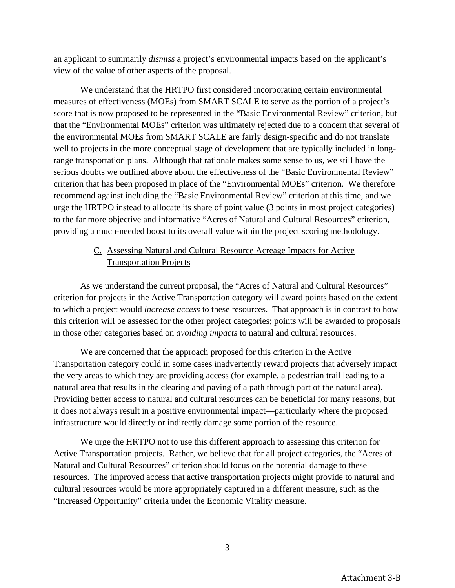an applicant to summarily *dismiss* a project's environmental impacts based on the applicant's view of the value of other aspects of the proposal.

We understand that the HRTPO first considered incorporating certain environmental measures of effectiveness (MOEs) from SMART SCALE to serve as the portion of a project's score that is now proposed to be represented in the "Basic Environmental Review" criterion, but that the "Environmental MOEs" criterion was ultimately rejected due to a concern that several of the environmental MOEs from SMART SCALE are fairly design-specific and do not translate well to projects in the more conceptual stage of development that are typically included in longrange transportation plans. Although that rationale makes some sense to us, we still have the serious doubts we outlined above about the effectiveness of the "Basic Environmental Review" criterion that has been proposed in place of the "Environmental MOEs" criterion. We therefore recommend against including the "Basic Environmental Review" criterion at this time, and we urge the HRTPO instead to allocate its share of point value (3 points in most project categories) to the far more objective and informative "Acres of Natural and Cultural Resources" criterion, providing a much-needed boost to its overall value within the project scoring methodology.

# C. Assessing Natural and Cultural Resource Acreage Impacts for Active Transportation Projects

As we understand the current proposal, the "Acres of Natural and Cultural Resources" criterion for projects in the Active Transportation category will award points based on the extent to which a project would *increase access* to these resources. That approach is in contrast to how this criterion will be assessed for the other project categories; points will be awarded to proposals in those other categories based on *avoiding impacts* to natural and cultural resources.

We are concerned that the approach proposed for this criterion in the Active Transportation category could in some cases inadvertently reward projects that adversely impact the very areas to which they are providing access (for example, a pedestrian trail leading to a natural area that results in the clearing and paving of a path through part of the natural area). Providing better access to natural and cultural resources can be beneficial for many reasons, but it does not always result in a positive environmental impact—particularly where the proposed infrastructure would directly or indirectly damage some portion of the resource.

We urge the HRTPO not to use this different approach to assessing this criterion for Active Transportation projects. Rather, we believe that for all project categories, the "Acres of Natural and Cultural Resources" criterion should focus on the potential damage to these resources. The improved access that active transportation projects might provide to natural and cultural resources would be more appropriately captured in a different measure, such as the "Increased Opportunity" criteria under the Economic Vitality measure.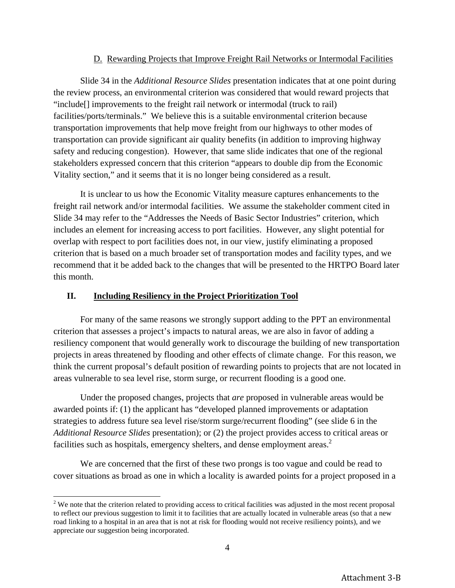## D. Rewarding Projects that Improve Freight Rail Networks or Intermodal Facilities

Slide 34 in the *Additional Resource Slides* presentation indicates that at one point during the review process, an environmental criterion was considered that would reward projects that "include[] improvements to the freight rail network or intermodal (truck to rail) facilities/ports/terminals." We believe this is a suitable environmental criterion because transportation improvements that help move freight from our highways to other modes of transportation can provide significant air quality benefits (in addition to improving highway safety and reducing congestion). However, that same slide indicates that one of the regional stakeholders expressed concern that this criterion "appears to double dip from the Economic Vitality section," and it seems that it is no longer being considered as a result.

It is unclear to us how the Economic Vitality measure captures enhancements to the freight rail network and/or intermodal facilities. We assume the stakeholder comment cited in Slide 34 may refer to the "Addresses the Needs of Basic Sector Industries" criterion, which includes an element for increasing access to port facilities. However, any slight potential for overlap with respect to port facilities does not, in our view, justify eliminating a proposed criterion that is based on a much broader set of transportation modes and facility types, and we recommend that it be added back to the changes that will be presented to the HRTPO Board later this month.

## **II. Including Resiliency in the Project Prioritization Tool**

For many of the same reasons we strongly support adding to the PPT an environmental criterion that assesses a project's impacts to natural areas, we are also in favor of adding a resiliency component that would generally work to discourage the building of new transportation projects in areas threatened by flooding and other effects of climate change. For this reason, we think the current proposal's default position of rewarding points to projects that are not located in areas vulnerable to sea level rise, storm surge, or recurrent flooding is a good one.

Under the proposed changes, projects that *are* proposed in vulnerable areas would be awarded points if: (1) the applicant has "developed planned improvements or adaptation strategies to address future sea level rise/storm surge/recurrent flooding" (see slide 6 in the *Additional Resource Slides* presentation); or (2) the project provides access to critical areas or facilities such as hospitals, emergency shelters, and dense employment areas.<sup>2</sup>

We are concerned that the first of these two prongs is too vague and could be read to cover situations as broad as one in which a locality is awarded points for a project proposed in a

 $2$  We note that the criterion related to providing access to critical facilities was adjusted in the most recent proposal to reflect our previous suggestion to limit it to facilities that are actually located in vulnerable areas (so that a new road linking to a hospital in an area that is not at risk for flooding would not receive resiliency points), and we appreciate our suggestion being incorporated.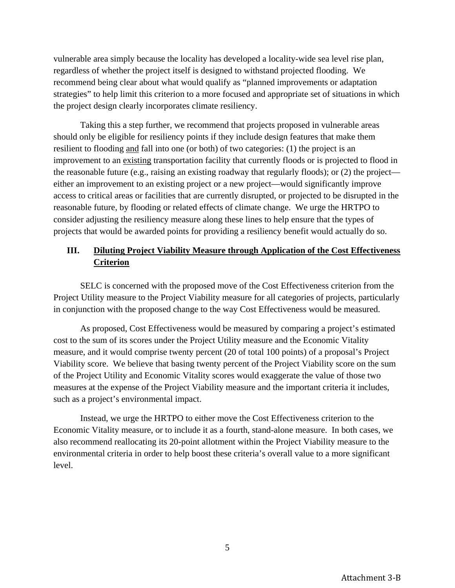vulnerable area simply because the locality has developed a locality-wide sea level rise plan, regardless of whether the project itself is designed to withstand projected flooding. We recommend being clear about what would qualify as "planned improvements or adaptation strategies" to help limit this criterion to a more focused and appropriate set of situations in which the project design clearly incorporates climate resiliency.

Taking this a step further, we recommend that projects proposed in vulnerable areas should only be eligible for resiliency points if they include design features that make them resilient to flooding and fall into one (or both) of two categories: (1) the project is an improvement to an existing transportation facility that currently floods or is projected to flood in the reasonable future (e.g., raising an existing roadway that regularly floods); or (2) the project either an improvement to an existing project or a new project—would significantly improve access to critical areas or facilities that are currently disrupted, or projected to be disrupted in the reasonable future, by flooding or related effects of climate change. We urge the HRTPO to consider adjusting the resiliency measure along these lines to help ensure that the types of projects that would be awarded points for providing a resiliency benefit would actually do so.

# **III. Diluting Project Viability Measure through Application of the Cost Effectiveness Criterion**

SELC is concerned with the proposed move of the Cost Effectiveness criterion from the Project Utility measure to the Project Viability measure for all categories of projects, particularly in conjunction with the proposed change to the way Cost Effectiveness would be measured.

As proposed, Cost Effectiveness would be measured by comparing a project's estimated cost to the sum of its scores under the Project Utility measure and the Economic Vitality measure, and it would comprise twenty percent (20 of total 100 points) of a proposal's Project Viability score. We believe that basing twenty percent of the Project Viability score on the sum of the Project Utility and Economic Vitality scores would exaggerate the value of those two measures at the expense of the Project Viability measure and the important criteria it includes, such as a project's environmental impact.

Instead, we urge the HRTPO to either move the Cost Effectiveness criterion to the Economic Vitality measure, or to include it as a fourth, stand-alone measure. In both cases, we also recommend reallocating its 20-point allotment within the Project Viability measure to the environmental criteria in order to help boost these criteria's overall value to a more significant level.